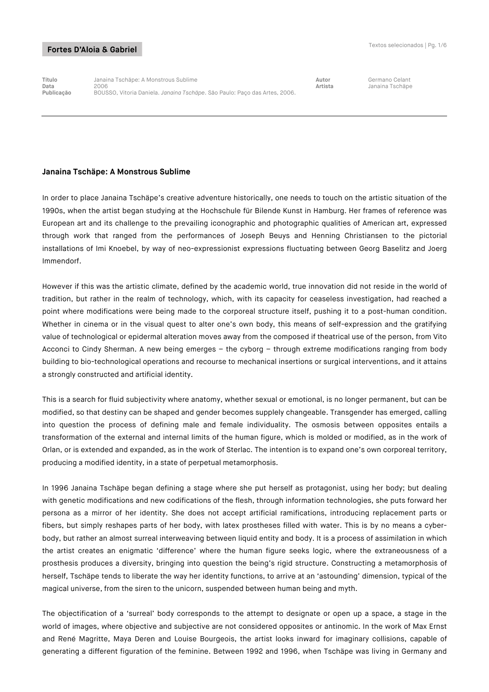**Título** Janaina Tschäpe: A Monstrous Sublime **Autor** Germano Celant **Data** 2006 **Artista** Janaina Tschäpe **Publicação** BOUSSO, Vitoria Daniela. *Janaina Tschäpe*. São Paulo: Paço das Artes, 2006.

#### **Janaina Tschäpe: A Monstrous Sublime**

In order to place Janaina Tschäpe's creative adventure historically, one needs to touch on the artistic situation of the 1990s, when the artist began studying at the Hochschule für Bilende Kunst in Hamburg. Her frames of reference was European art and its challenge to the prevailing iconographic and photographic qualities of American art, expressed through work that ranged from the performances of Joseph Beuys and Henning Christiansen to the pictorial installations of Imi Knoebel, by way of neo-expressionist expressions fluctuating between Georg Baselitz and Joerg Immendorf.

However if this was the artistic climate, defined by the academic world, true innovation did not reside in the world of tradition, but rather in the realm of technology, which, with its capacity for ceaseless investigation, had reached a point where modifications were being made to the corporeal structure itself, pushing it to a post-human condition. Whether in cinema or in the visual quest to alter one's own body, this means of self-expression and the gratifying value of technological or epidermal alteration moves away from the composed if theatrical use of the person, from Vito Acconci to Cindy Sherman. A new being emerges – the cyborg – through extreme modifications ranging from body building to bio-technological operations and recourse to mechanical insertions or surgical interventions, and it attains a strongly constructed and artificial identity.

This is a search for fluid subjectivity where anatomy, whether sexual or emotional, is no longer permanent, but can be modified, so that destiny can be shaped and gender becomes supplely changeable. Transgender has emerged, calling into question the process of defining male and female individuality. The osmosis between opposites entails a transformation of the external and internal limits of the human figure, which is molded or modified, as in the work of Orlan, or is extended and expanded, as in the work of Sterlac. The intention is to expand one's own corporeal territory, producing a modified identity, in a state of perpetual metamorphosis.

In 1996 Janaina Tschäpe began defining a stage where she put herself as protagonist, using her body; but dealing with genetic modifications and new codifications of the flesh, through information technologies, she puts forward her persona as a mirror of her identity. She does not accept artificial ramifications, introducing replacement parts or fibers, but simply reshapes parts of her body, with latex prostheses filled with water. This is by no means a cyberbody, but rather an almost surreal interweaving between liquid entity and body. It is a process of assimilation in which the artist creates an enigmatic 'difference' where the human figure seeks logic, where the extraneousness of a prosthesis produces a diversity, bringing into question the being's rigid structure. Constructing a metamorphosis of herself, Tschäpe tends to liberate the way her identity functions, to arrive at an 'astounding' dimension, typical of the magical universe, from the siren to the unicorn, suspended between human being and myth.

The objectification of a 'surreal' body corresponds to the attempt to designate or open up a space, a stage in the world of images, where objective and subjective are not considered opposites or antinomic. In the work of Max Ernst and René Magritte, Maya Deren and Louise Bourgeois, the artist looks inward for imaginary collisions, capable of generating a different figuration of the feminine. Between 1992 and 1996, when Tschäpe was living in Germany and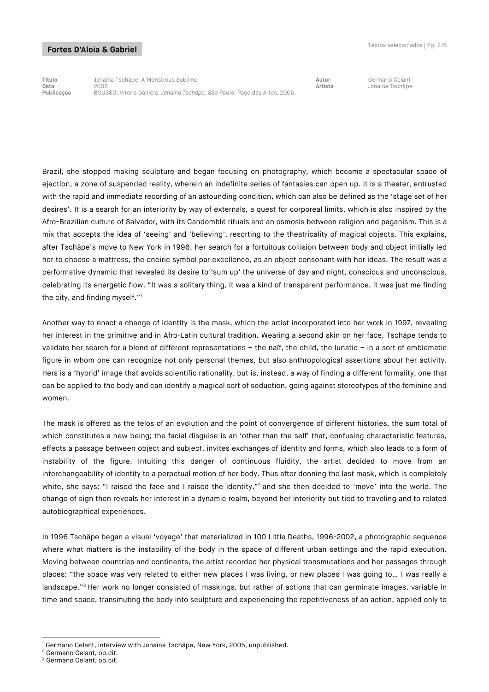**Título** Janaina Tschäpe: A Monstrous Sublime **Autor** Germano Celant **Data** 2006 **Artista** Janaina Tschäpe **Publicação** BOUSSO, Vitoria Daniela. *Janaina Tschäpe*. São Paulo: Paço das Artes, 2006.

Brazil, she stopped making sculpture and began focusing on photography, which became a spectacular space of ejection, a zone of suspended reality, wherein an indefinite series of fantasies can open up. It is a theater, entrusted with the rapid and immediate recording of an astounding condition, which can also be defined as the 'stage set of her desires'. It is a search for an interiority by way of externals, a quest for corporeal limits, which is also inspired by the Afro-Brazilian culture of Salvador, with its Candomblé rituals and an osmosis between religion and paganism. This is a mix that accepts the idea of 'seeing' and 'believing', resorting to the theatricality of magical objects. This explains, after Tschäpe's move to New York in 1996, her search for a fortuitous collision between body and object initially led her to choose a mattress, the oneiric symbol par excellence, as an object consonant with her ideas. The result was a performative dynamic that revealed its desire to 'sum up' the universe of day and night, conscious and unconscious, celebrating its energetic flow. "It was a solitary thing, it was a kind of transparent performance, it was just me finding the city, and finding myself."1

Another way to enact a change of identity is the mask, which the artist incorporated into her work in 1997, revealing her interest in the primitive and in Afro-Latin cultural tradition. Wearing a second skin on her face, Tschäpe tends to validate her search for a blend of different representations – the naïf, the child, the lunatic – in a sort of emblematic figure in whom one can recognize not only personal themes, but also anthropological assertions about her activity. Hers is a 'hybrid' image that avoids scientific rationality, but is, instead, a way of finding a different formality, one that can be applied to the body and can identify a magical sort of seduction, going against stereotypes of the feminine and women.

The mask is offered as the telos of an evolution and the point of convergence of different histories, the sum total of which constitutes a new being; the facial disguise is an 'other than the self' that, confusing characteristic features, effects a passage between object and subject, invites exchanges of identity and forms, which also leads to a form of instability of the figure. Intuiting this danger of continuous fluidity, the artist decided to move from an interchangeability of identity to a perpetual motion of her body. Thus after donning the last mask, which is completely white, she says: "I raised the face and I raised the identity,"<sup>2</sup> and she then decided to 'move' into the world. The change of sign then reveals her interest in a dynamic realm, beyond her interiority but tied to traveling and to related autobiographical experiences.

In 1996 Tschäpe began a visual 'voyage' that materialized in 100 Little Deaths, 1996-2002, a photographic sequence where what matters is the instability of the body in the space of different urban settings and the rapid execution. Moving between countries and continents, the artist recorded her physical transmutations and her passages through places: "the space was very related to either new places I was living, or new places I was going to… I was really a landscape."<sup>3</sup> Her work no longer consisted of maskings, but rather of actions that can germinate images, variable in time and space, transmuting the body into sculpture and experiencing the repetitiveness of an action, applied only to

<sup>-</sup><sup>1</sup> Germano Celant, interview with Janaina Tschäpe, New York, 2005, unpublished.

<sup>&</sup>lt;sup>2</sup> Germano Celant, op.cit.

<sup>3</sup> Germano Celant, op.cit.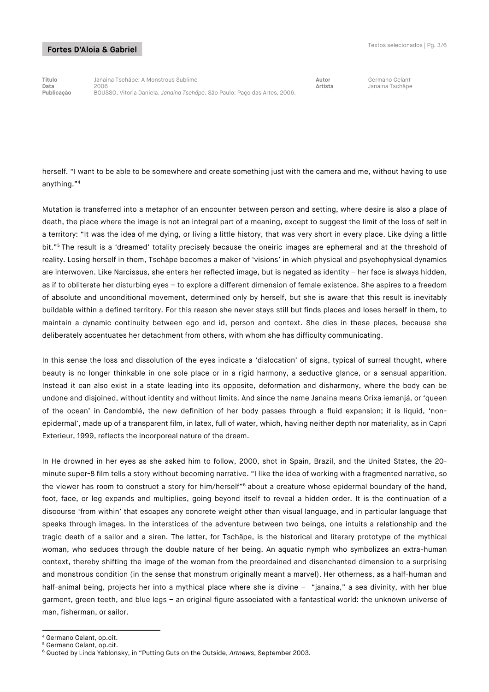**Título** Janaina Tschäpe: A Monstrous Sublime **Autor** Germano Celant **Data** 2006 **Artista** Janaina Tschäpe **Publicação** BOUSSO, Vitoria Daniela. *Janaina Tschäpe*. São Paulo: Paço das Artes, 2006.

herself. "I want to be able to be somewhere and create something just with the camera and me, without having to use anything."4

Mutation is transferred into a metaphor of an encounter between person and setting, where desire is also a place of death, the place where the image is not an integral part of a meaning, except to suggest the limit of the loss of self in a territory: "It was the idea of me dying, or living a little history, that was very short in every place. Like dying a little bit."<sup>5</sup> The result is a 'dreamed' totality precisely because the oneiric images are ephemeral and at the threshold of reality. Losing herself in them, Tschäpe becomes a maker of 'visions' in which physical and psychophysical dynamics are interwoven. Like Narcissus, she enters her reflected image, but is negated as identity – her face is always hidden, as if to obliterate her disturbing eyes – to explore a different dimension of female existence. She aspires to a freedom of absolute and unconditional movement, determined only by herself, but she is aware that this result is inevitably buildable within a defined territory. For this reason she never stays still but finds places and loses herself in them, to maintain a dynamic continuity between ego and id, person and context. She dies in these places, because she deliberately accentuates her detachment from others, with whom she has difficulty communicating.

In this sense the loss and dissolution of the eyes indicate a 'dislocation' of signs, typical of surreal thought, where beauty is no longer thinkable in one sole place or in a rigid harmony, a seductive glance, or a sensual apparition. Instead it can also exist in a state leading into its opposite, deformation and disharmony, where the body can be undone and disjoined, without identity and without limits. And since the name Janaina means Orixa iemanjá, or 'queen of the ocean' in Candomblé, the new definition of her body passes through a fluid expansion; it is liquid, 'nonepidermal', made up of a transparent film, in latex, full of water, which, having neither depth nor materiality, as in Capri Exterieur, 1999, reflects the incorporeal nature of the dream.

In He drowned in her eyes as she asked him to follow, 2000, shot in Spain, Brazil, and the United States, the 20 minute super-8 film tells a story without becoming narrative. "I like the idea of working with a fragmented narrative, so the viewer has room to construct a story for him/herself<sup>"6</sup> about a creature whose epidermal boundary of the hand, foot, face, or leg expands and multiplies, going beyond itself to reveal a hidden order. It is the continuation of a discourse 'from within' that escapes any concrete weight other than visual language, and in particular language that speaks through images. In the interstices of the adventure between two beings, one intuits a relationship and the tragic death of a sailor and a siren. The latter, for Tschäpe, is the historical and literary prototype of the mythical woman, who seduces through the double nature of her being. An aquatic nymph who symbolizes an extra-human context, thereby shifting the image of the woman from the preordained and disenchanted dimension to a surprising and monstrous condition (in the sense that monstrum originally meant a marvel). Her otherness, as a half-human and half-animal being, projects her into a mythical place where she is divine – "janaina," a sea divinity, with her blue garment, green teeth, and blue legs – an original figure associated with a fantastical world: the unknown universe of man, fisherman, or sailor.

-

<sup>4</sup> Germano Celant, op.cit.

<sup>&</sup>lt;sup>5</sup> Germano Celant, op.cit.

<sup>6</sup> Quoted by Linda Yablonsky, in "Putting Guts on the Outside, *Artnews*, September 2003.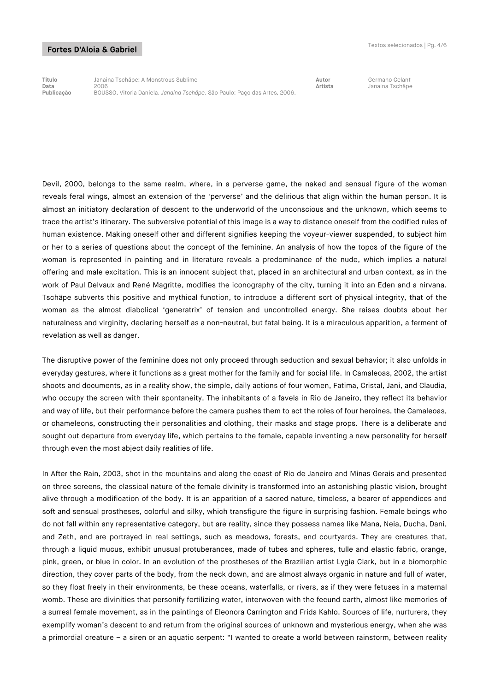**Título** Janaina Tschäpe: A Monstrous Sublime **Autor** Germano Celant **Data** 2006 **Artista** Janaina Tschäpe **Publicação** BOUSSO, Vitoria Daniela. *Janaina Tschäpe*. São Paulo: Paço das Artes, 2006.

Devil, 2000, belongs to the same realm, where, in a perverse game, the naked and sensual figure of the woman reveals feral wings, almost an extension of the 'perverse' and the delirious that align within the human person. It is almost an initiatory declaration of descent to the underworld of the unconscious and the unknown, which seems to trace the artist's itinerary. The subversive potential of this image is a way to distance oneself from the codified rules of human existence. Making oneself other and different signifies keeping the voyeur-viewer suspended, to subject him or her to a series of questions about the concept of the feminine. An analysis of how the topos of the figure of the woman is represented in painting and in literature reveals a predominance of the nude, which implies a natural offering and male excitation. This is an innocent subject that, placed in an architectural and urban context, as in the work of Paul Delvaux and René Magritte, modifies the iconography of the city, turning it into an Eden and a nirvana. Tschäpe subverts this positive and mythical function, to introduce a different sort of physical integrity, that of the woman as the almost diabolical 'generatrix' of tension and uncontrolled energy. She raises doubts about her naturalness and virginity, declaring herself as a non-neutral, but fatal being. It is a miraculous apparition, a ferment of revelation as well as danger.

The disruptive power of the feminine does not only proceed through seduction and sexual behavior; it also unfolds in everyday gestures, where it functions as a great mother for the family and for social life. In Camaleoas, 2002, the artist shoots and documents, as in a reality show, the simple, daily actions of four women, Fatima, Cristal, Jani, and Claudia, who occupy the screen with their spontaneity. The inhabitants of a favela in Rio de Janeiro, they reflect its behavior and way of life, but their performance before the camera pushes them to act the roles of four heroines, the Camaleoas, or chameleons, constructing their personalities and clothing, their masks and stage props. There is a deliberate and sought out departure from everyday life, which pertains to the female, capable inventing a new personality for herself through even the most abject daily realities of life.

In After the Rain, 2003, shot in the mountains and along the coast of Rio de Janeiro and Minas Gerais and presented on three screens, the classical nature of the female divinity is transformed into an astonishing plastic vision, brought alive through a modification of the body. It is an apparition of a sacred nature, timeless, a bearer of appendices and soft and sensual prostheses, colorful and silky, which transfigure the figure in surprising fashion. Female beings who do not fall within any representative category, but are reality, since they possess names like Mana, Neia, Ducha, Dani, and Zeth, and are portrayed in real settings, such as meadows, forests, and courtyards. They are creatures that, through a liquid mucus, exhibit unusual protuberances, made of tubes and spheres, tulle and elastic fabric, orange, pink, green, or blue in color. In an evolution of the prostheses of the Brazilian artist Lygia Clark, but in a biomorphic direction, they cover parts of the body, from the neck down, and are almost always organic in nature and full of water, so they float freely in their environments, be these oceans, waterfalls, or rivers, as if they were fetuses in a maternal womb. These are divinities that personify fertilizing water, interwoven with the fecund earth, almost like memories of a surreal female movement, as in the paintings of Eleonora Carrington and Frida Kahlo. Sources of life, nurturers, they exemplify woman's descent to and return from the original sources of unknown and mysterious energy, when she was a primordial creature – a siren or an aquatic serpent: "I wanted to create a world between rainstorm, between reality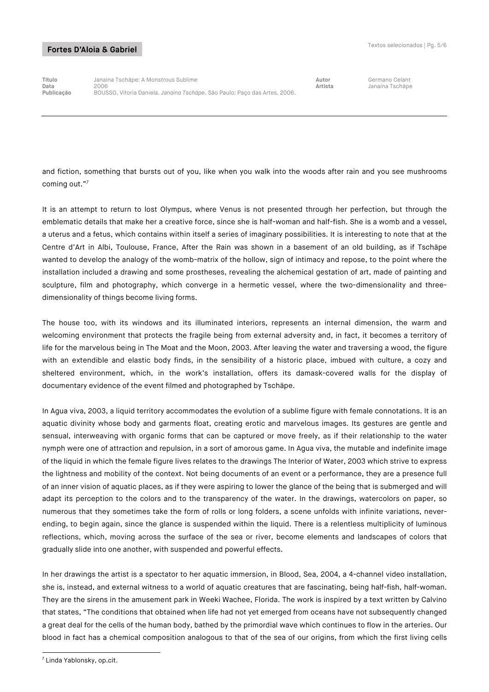**Título** Janaina Tschäpe: A Monstrous Sublime **Autor** Germano Celant **Data** 2006 **Artista** Janaina Tschäpe **Publicação** BOUSSO, Vitoria Daniela. *Janaina Tschäpe*. São Paulo: Paço das Artes, 2006.

and fiction, something that bursts out of you, like when you walk into the woods after rain and you see mushrooms coming out."7

It is an attempt to return to lost Olympus, where Venus is not presented through her perfection, but through the emblematic details that make her a creative force, since she is half-woman and half-fish. She is a womb and a vessel, a uterus and a fetus, which contains within itself a series of imaginary possibilities. It is interesting to note that at the Centre d'Art in Albi, Toulouse, France, After the Rain was shown in a basement of an old building, as if Tschäpe wanted to develop the analogy of the womb-matrix of the hollow, sign of intimacy and repose, to the point where the installation included a drawing and some prostheses, revealing the alchemical gestation of art, made of painting and sculpture, film and photography, which converge in a hermetic vessel, where the two-dimensionality and threedimensionality of things become living forms.

The house too, with its windows and its illuminated interiors, represents an internal dimension, the warm and welcoming environment that protects the fragile being from external adversity and, in fact, it becomes a territory of life for the marvelous being in The Moat and the Moon, 2003. After leaving the water and traversing a wood, the figure with an extendible and elastic body finds, in the sensibility of a historic place, imbued with culture, a cozy and sheltered environment, which, in the work's installation, offers its damask-covered walls for the display of documentary evidence of the event filmed and photographed by Tschäpe.

In Agua viva, 2003, a liquid territory accommodates the evolution of a sublime figure with female connotations. It is an aquatic divinity whose body and garments float, creating erotic and marvelous images. Its gestures are gentle and sensual, interweaving with organic forms that can be captured or move freely, as if their relationship to the water nymph were one of attraction and repulsion, in a sort of amorous game. In Agua viva, the mutable and indefinite image of the liquid in which the female figure lives relates to the drawings The Interior of Water, 2003 which strive to express the lightness and mobility of the context. Not being documents of an event or a performance, they are a presence full of an inner vision of aquatic places, as if they were aspiring to lower the glance of the being that is submerged and will adapt its perception to the colors and to the transparency of the water. In the drawings, watercolors on paper, so numerous that they sometimes take the form of rolls or long folders, a scene unfolds with infinite variations, neverending, to begin again, since the glance is suspended within the liquid. There is a relentless multiplicity of luminous reflections, which, moving across the surface of the sea or river, become elements and landscapes of colors that gradually slide into one another, with suspended and powerful effects.

In her drawings the artist is a spectator to her aquatic immersion, in Blood, Sea, 2004, a 4-channel video installation, she is, instead, and external witness to a world of aquatic creatures that are fascinating, being half-fish, half-woman. They are the sirens in the amusement park in Weeki Wachee, Florida. The work is inspired by a text written by Calvino that states, "The conditions that obtained when life had not yet emerged from oceans have not subsequently changed a great deal for the cells of the human body, bathed by the primordial wave which continues to flow in the arteries. Our blood in fact has a chemical composition analogous to that of the sea of our origins, from which the first living cells

<sup>-</sup> $7$  Linda Yablonsky, op.cit.